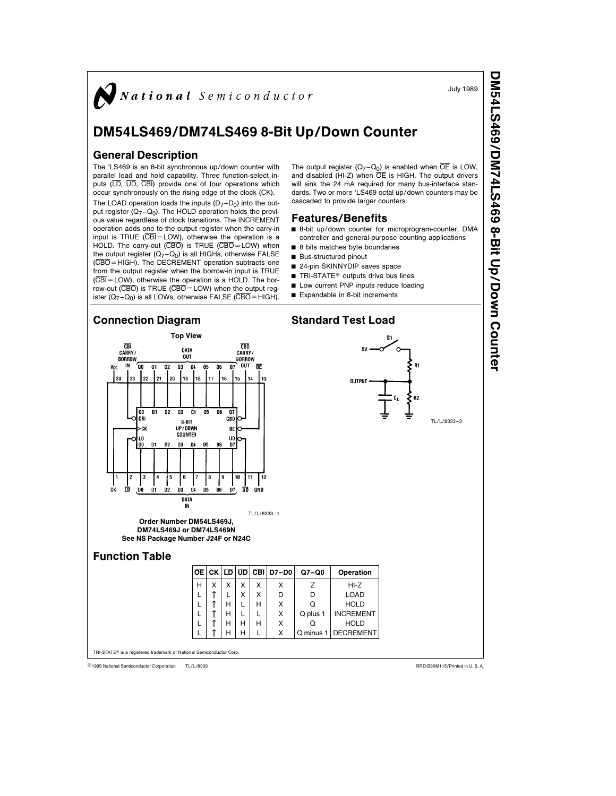

July 1989

DM54LS469/DM74LS469

8-Bit Up/Down

Counter

# DM54LS469/DM74LS469 8-Bit Up/Down Counter

#### General Description

The 'LS469 is an 8-bit synchronous up/down counter with parallel load and hold capability. Three function-select inputs (LD, UD, CBI) provide one of four operations which occur synchronously on the rising edge of the clock (CK).

The LOAD operation loads the inputs  $(D_7-D_0)$  into the output register  $(Q_7-Q_0)$ . The HOLD operation holds the previous value regardless of clock transitions. The INCREMENT operation adds one to the output register when the carry-in input is TRUE  $(\overline{CBI} = LOW)$ , otherwise the operation is a HOLD. The carry-out  $(\overline{CBO})$  is TRUE  $(\overline{CBO} = LOW)$  when the output register  $(Q_7-Q_0)$  is all HIGHs, otherwise FALSE  $(\overline{\text{CBO}} = \text{HIGH})$ . The DECREMENT operation subtracts one from the output register when the borrow-in input is TRUE  $(\overline{\text{CBI}} = \text{LOW})$ , otherwise the operation is a HOLD. The borrow-out  $(\overline{\text{CBO}})$  is TRUE  $(\overline{\text{CBO}} = \text{LOW})$  when the output register  $(Q_7-Q_0)$  is all LOWs, otherwise FALSE (CBO = HIGH).

The output register  $(Q_7-Q_0)$  is enabled when  $\overline{OE}$  is LOW, and disabled  $(HI-Z)$  when  $\overline{OE}$  is HIGH. The output drivers will sink the 24 mA required for many bus-interface standards. Two or more 'LS469 octal up/down counters may be cascaded to provide larger counters.

#### Features/Benefits

- 8-bit up/down counter for microprogram-counter, DMA controller and general-purpose counting applications
- $\blacksquare$  8 bits matches byte boundaries
- $\blacksquare$  Bus-structured pinout
- 24-pin SKINNYDIP saves space
- TRI-STATE® outputs drive bus lines
- Low current PNP inputs reduce loading
- $\blacksquare$  Expandable in 8-bit increments



TL/L/8333 <sup>C</sup>1995 National Semiconductor Corporation RRD-B30M115/Printed in U. S. A.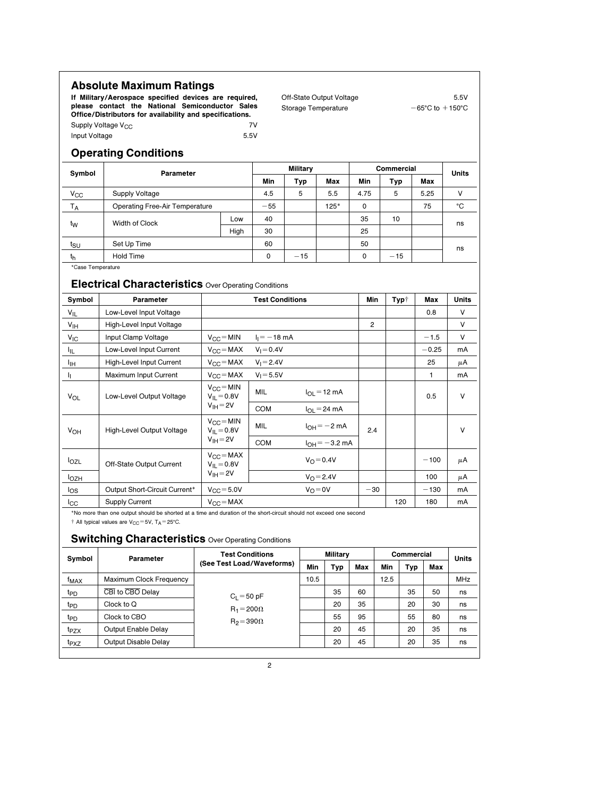### Absolute Maximum Ratings

If Military/Aerospace specified devices are required, please contact the National Semiconductor Sales Office/Distributors for availability and specifications. Supply Voltage V<sub>CC</sub> 7V<br>
Input Voltage 7CC 7V<br>
5.5V Off-State Output Voltage 5.5V Storage Temperature  $-65°C$  to  $+150°C$ 

### Operating Conditions

Input Voltage

| Symbol                     | Parameter                                                                |                                       |                             | <b>Military</b>             |                          |                    |  | Commercial     | <b>Units</b> |              |              |
|----------------------------|--------------------------------------------------------------------------|---------------------------------------|-----------------------------|-----------------------------|--------------------------|--------------------|--|----------------|--------------|--------------|--------------|
|                            |                                                                          |                                       |                             | Min                         | Typ                      | Max                |  | Min            | <b>Typ</b>   | Max          |              |
| $\mathsf{V}_{\mathsf{CC}}$ | <b>Supply Voltage</b>                                                    |                                       |                             | 4.5                         | 5                        | 5.5                |  | 4.75           | 5            | 5.25         | v            |
| T <sub>A</sub>             | <b>Operating Free-Air Temperature</b>                                    |                                       |                             |                             |                          | $125*$             |  | 0              |              | 75           | ۰C           |
| t <sub>W</sub>             | Width of Clock                                                           |                                       | Low                         | 40                          |                          |                    |  | 35             | 10           |              | ns           |
|                            |                                                                          |                                       | High                        | 30                          |                          |                    |  | 25             |              |              |              |
| tsu                        | Set Up Time                                                              |                                       |                             |                             |                          |                    |  | 50             |              |              | ns           |
| th                         | <b>Hold Time</b>                                                         |                                       |                             |                             | $-15$                    |                    |  | 0              | $-15$        |              |              |
| Symbol                     | <b>Electrical Characteristics</b> Over Operating Conditions<br>Parameter |                                       |                             |                             |                          |                    |  | Min            | Typ†         | Max          | <b>Units</b> |
| $V_{IL}$                   | Low-Level Input Voltage                                                  |                                       |                             | <b>Test Conditions</b>      |                          |                    |  |                |              | 0.8          | V            |
| V <sub>IH</sub>            | High-Level Input Voltage                                                 |                                       |                             |                             |                          |                    |  | $\overline{2}$ |              |              | V            |
| $V_{IC}$                   | Input Clamp Voltage                                                      | $V_{CC} = MIN$ $I_1 = -18$ mA         |                             |                             |                          |                    |  |                |              | $-1.5$       | V            |
| ŀμ                         | Low-Level Input Current                                                  |                                       | $V_{CC}$ = MAX $V_1$ = 0.4V |                             |                          |                    |  |                |              | $-0.25$      | mA           |
| Ιщ                         | <b>High-Level Input Current</b>                                          |                                       |                             | $V_{CC}$ = MAX $V_1$ = 2.4V |                          |                    |  |                |              | 25           | μA           |
| Щ.                         | Maximum Input Current                                                    | $V_{CC} = MAX$                        |                             | $V_1 = 5.5V$                |                          |                    |  |                |              | $\mathbf{1}$ | mA           |
| <b>V<sub>OL</sub></b>      | Low-Level Output Voltage                                                 | $V_{\rm CC} = MIN$<br>$V_{II} = 0.8V$ |                             | MIL                         | $I_{OL} = 12 \text{ mA}$ |                    |  |                |              | 0.5          | V            |
|                            |                                                                          | $V_{IH} = 2V$                         |                             | COM                         |                          | $I_{OL}$ = 24 mA   |  |                |              |              |              |
| <b>V<sub>OH</sub></b>      | High-Level Output Voltage                                                | $V_{\rm CC} = MIN$<br>$V_{II} = 0.8V$ |                             | MIL                         |                          | $I_{OH} = -2 mA$   |  |                |              |              | v            |
|                            |                                                                          | $V_{IH} = 2V$                         |                             | <b>COM</b>                  |                          | $I_{OH} = -3.2$ mA |  |                |              |              |              |
| $I_{OZL}$                  | Off-State Output Current                                                 | $V_{CC} = MAX$<br>$V_{IL} = 0.8V$     |                             |                             |                          | $V_O = 0.4V$       |  |                |              | $-100$       | μA           |
| <b>l</b> <sub>OZH</sub>    |                                                                          | $V_{IH} = 2V$                         |                             |                             |                          | $V_O = 2.4V$       |  |                |              | 100          | μA           |
| los                        | Output Short-Circuit Current*                                            | $V_{\rm CC} = 5.0V$                   |                             |                             |                          | $V_O = 0V$         |  | $-30$          |              | $-130$       | mA           |
| Iсс                        | <b>Supply Current</b>                                                    | $V_{CC} = MAX$                        |                             |                             |                          |                    |  |                | 120          | 180          | mA           |

## **Switching Characteristics Over Operating Conditions**

| Symbol           | Parameter               | <b>Test Conditions</b>                                    |      | <b>Military</b> |     | Commercial | <b>Units</b> |     |     |  |  |
|------------------|-------------------------|-----------------------------------------------------------|------|-----------------|-----|------------|--------------|-----|-----|--|--|
|                  |                         | (See Test Load/Waveforms)                                 | Min  | Typ             | Max | Min        | Typ          | Max |     |  |  |
| f <sub>MAX</sub> | Maximum Clock Frequency | $C_1 = 50 pF$<br>$R_1 = 200 \Omega$<br>$R_2 = 390 \Omega$ | 10.5 |                 |     | 12.5       |              |     | MHz |  |  |
| t <sub>PD</sub>  | CBI to CBO Delay        |                                                           |      | 35              | 60  |            | 35           | 50  | ns  |  |  |
| t <sub>PD</sub>  | Clock to Q              |                                                           |      | 20              | 35  |            | 20           | 30  | ns  |  |  |
| t <sub>PD</sub>  | Clock to CBO            |                                                           |      | 55              | 95  |            | 55           | 80  | ns  |  |  |
| t <sub>PZX</sub> | Output Enable Delay     |                                                           |      | 20              | 45  |            | 20           | 35  | ns  |  |  |
| t <sub>PXZ</sub> | Output Disable Delay    |                                                           |      | 20              | 45  |            | 20           | 35  | ns  |  |  |
|                  |                         |                                                           |      |                 |     |            |              |     |     |  |  |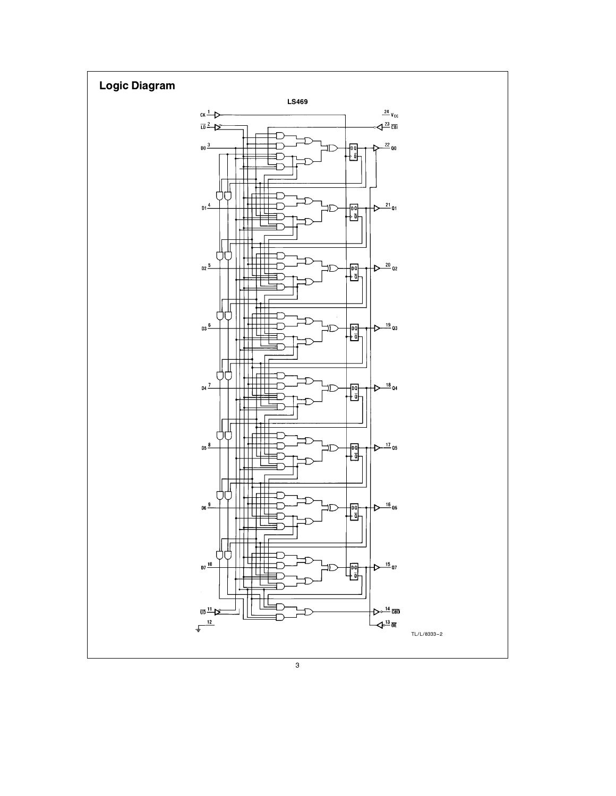